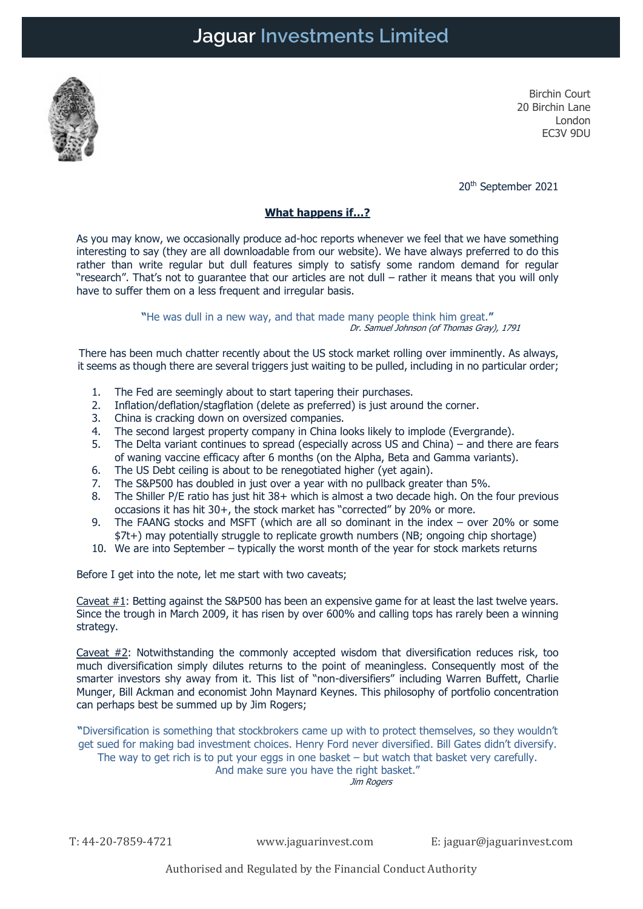

Birchin Court 20 Birchin Lane London EC3V 9DU

20th September 2021

### What happens if…?

As you may know, we occasionally produce ad-hoc reports whenever we feel that we have something interesting to say (they are all downloadable from our website). We have always preferred to do this rather than write regular but dull features simply to satisfy some random demand for regular "research". That's not to guarantee that our articles are not dull – rather it means that you will only have to suffer them on a less frequent and irregular basis.

> "He was dull in a new way, and that made many people think him great." Dr. Samuel Johnson (of Thomas Gray), 1791

There has been much chatter recently about the US stock market rolling over imminently. As always, it seems as though there are several triggers just waiting to be pulled, including in no particular order;

- 1. The Fed are seemingly about to start tapering their purchases.
- 2. Inflation/deflation/stagflation (delete as preferred) is just around the corner.
- 3. China is cracking down on oversized companies.
- 4. The second largest property company in China looks likely to implode (Evergrande).
- 5. The Delta variant continues to spread (especially across US and China) and there are fears of waning vaccine efficacy after 6 months (on the Alpha, Beta and Gamma variants).
- 6. The US Debt ceiling is about to be renegotiated higher (yet again).
- 7. The S&P500 has doubled in just over a year with no pullback greater than 5%.
- 8. The Shiller P/E ratio has just hit 38+ which is almost a two decade high. On the four previous occasions it has hit 30+, the stock market has "corrected" by 20% or more.
- 9. The FAANG stocks and MSFT (which are all so dominant in the index over 20% or some \$7t+) may potentially struggle to replicate growth numbers (NB; ongoing chip shortage)
- 10. We are into September typically the worst month of the year for stock markets returns

Before I get into the note, let me start with two caveats;

Caveat #1: Betting against the S&P500 has been an expensive game for at least the last twelve years. Since the trough in March 2009, it has risen by over 600% and calling tops has rarely been a winning strategy.

Caveat  $#2$ : Notwithstanding the commonly accepted wisdom that diversification reduces risk, too much diversification simply dilutes returns to the point of meaningless. Consequently most of the smarter investors shy away from it. This list of "non-diversifiers" including Warren Buffett, Charlie Munger, Bill Ackman and economist John Maynard Keynes. This philosophy of portfolio concentration can perhaps best be summed up by Jim Rogers;

"Diversification is something that stockbrokers came up with to protect themselves, so they wouldn't get sued for making bad investment choices. Henry Ford never diversified. Bill Gates didn't diversify. The way to get rich is to put your eggs in one basket  $-$  but watch that basket very carefully.

And make sure you have the right basket."

Jim Rogers

T: 44-20-7859-4721 www.jaguarinvest.com E: jaguar@jaguarinvest.com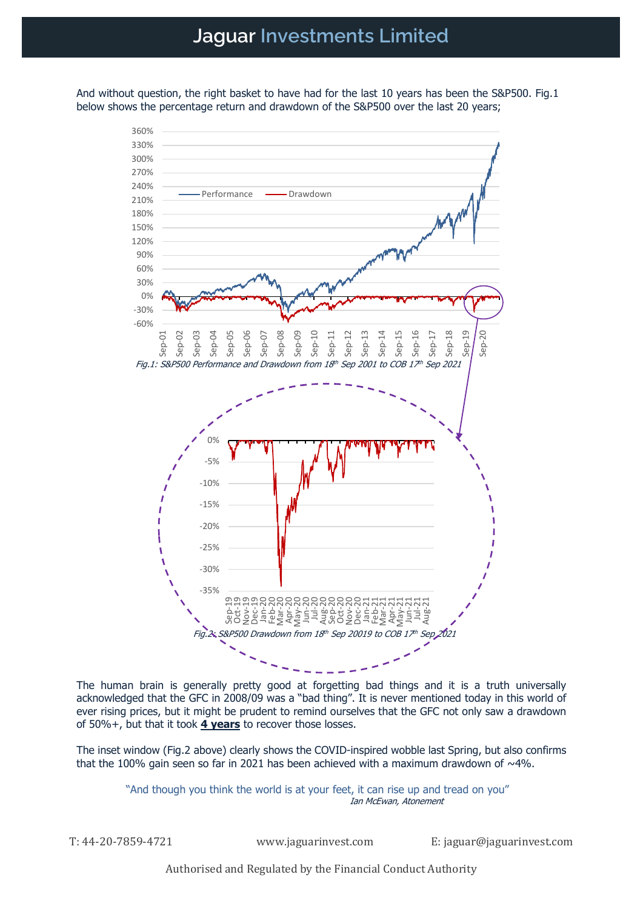And without question, the right basket to have had for the last 10 years has been the S&P500. Fig.1 below shows the percentage return and drawdown of the S&P500 over the last 20 years;



The human brain is generally pretty good at forgetting bad things and it is a truth universally acknowledged that the GFC in 2008/09 was a "bad thing". It is never mentioned today in this world of ever rising prices, but it might be prudent to remind ourselves that the GFC not only saw a drawdown of 50%+, but that it took  $4$  years to recover those losses.

The inset window (Fig.2 above) clearly shows the COVID-inspired wobble last Spring, but also confirms that the 100% gain seen so far in 2021 has been achieved with a maximum drawdown of  $\sim$ 4%.

> "And though you think the world is at your feet, it can rise up and tread on you" Ian McEwan, Atonement

T: 44-20-7859-4721 www.jaguarinvest.com E: jaguar@jaguarinvest.com

Authorised and Regulated by the Financial Conduct Authority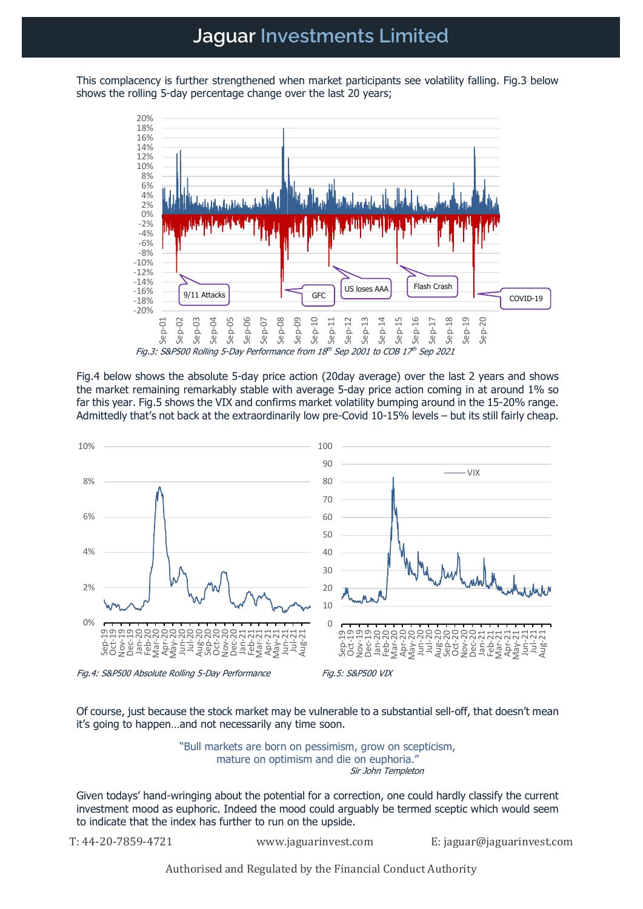## Jaguar Investments Limited

This complacency is further strengthened when market participants see volatility falling. Fig.3 below shows the rolling 5-day percentage change over the last 20 years;



Fig.4 below shows the absolute 5-day price action (20day average) over the last 2 years and shows the market remaining remarkably stable with average 5-day price action coming in at around 1% so far this year. Fig.5 shows the VIX and confirms market volatility bumping around in the 15-20% range. Admittedly that's not back at the extraordinarily low pre-Covid 10-15% levels – but its still fairly cheap.



Of course, just because the stock market may be vulnerable to a substantial sell-off, that doesn't mean it's going to happen…and not necessarily any time soon.

> "Bull markets are born on pessimism, grow on scepticism, mature on optimism and die on euphoria." Sir John Templeton

Given todays' hand-wringing about the potential for a correction, one could hardly classify the current investment mood as euphoric. Indeed the mood could arguably be termed sceptic which would seem to indicate that the index has further to run on the upside.

T: 44-20-7859-4721 www.jaguarinvest.com E: jaguar@jaguarinvest.com

Authorised and Regulated by the Financial Conduct Authority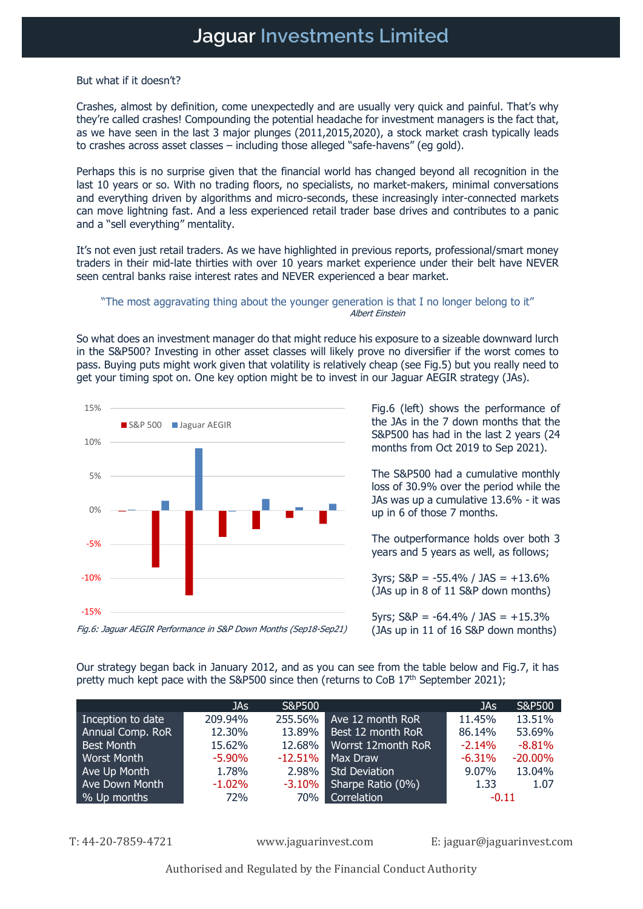But what if it doesn't?

Crashes, almost by definition, come unexpectedly and are usually very quick and painful. That's why they're called crashes! Compounding the potential headache for investment managers is the fact that, as we have seen in the last 3 major plunges (2011,2015,2020), a stock market crash typically leads to crashes across asset classes – including those alleged "safe-havens" (eg gold).

Perhaps this is no surprise given that the financial world has changed beyond all recognition in the last 10 years or so. With no trading floors, no specialists, no market-makers, minimal conversations and everything driven by algorithms and micro-seconds, these increasingly inter-connected markets can move lightning fast. And a less experienced retail trader base drives and contributes to a panic and a "sell everything" mentality.

It's not even just retail traders. As we have highlighted in previous reports, professional/smart money traders in their mid-late thirties with over 10 years market experience under their belt have NEVER seen central banks raise interest rates and NEVER experienced a bear market.

#### "The most aggravating thing about the younger generation is that I no longer belong to it" Albert Einstein

So what does an investment manager do that might reduce his exposure to a sizeable downward lurch in the S&P500? Investing in other asset classes will likely prove no diversifier if the worst comes to pass. Buying puts might work given that volatility is relatively cheap (see Fig.5) but you really need to get your timing spot on. One key option might be to invest in our Jaguar AEGIR strategy (JAs).



Fig.6 (left) shows the performance of the JAs in the 7 down months that the S&P500 has had in the last 2 years (24 months from Oct 2019 to Sep 2021).

The S&P500 had a cumulative monthly loss of 30.9% over the period while the JAs was up a cumulative 13.6% - it was up in 6 of those 7 months.

The outperformance holds over both 3 years and 5 years as well, as follows;

 $3yrs$ ;  $S&P = -55.4\%$  /  $JAS = +13.6\%$ (JAs up in 8 of 11 S&P down months)

5yrs;  $S\&P = -64.4\%$  / JAS =  $+15.3\%$ (JAs up in 11 of 16 S&P down months)

Our strategy began back in January 2012, and as you can see from the table below and Fig.7, it has pretty much kept pace with the S&P500 since then (returns to CoB 17<sup>th</sup> September 2021);

|                    | JAs       | S&P500     |                      | JAs      | S&P500     |
|--------------------|-----------|------------|----------------------|----------|------------|
| Inception to date  | 209.94%   | 255.56%    | Ave 12 month RoR     | 11.45%   | 13.51%     |
| Annual Comp. RoR   | 12.30%    | 13.89%     | Best 12 month RoR    | 86.14%   | 53.69%     |
| <b>Best Month</b>  | 15.62%    | 12.68%     | Worrst 12month RoR   | $-2.14%$ | $-8.81%$   |
| <b>Worst Month</b> | $-5.90\%$ | $-12.51\%$ | Max Draw             | $-6.31%$ | $-20.00\%$ |
| Ave Up Month       | 1.78%     | 2.98%      | <b>Std Deviation</b> | 9.07%    | 13.04%     |
| Ave Down Month     | $-1.02%$  | $-3.10%$   | Sharpe Ratio (0%)    | 1.33     | 1.07       |
| % Up months        | 72%       | 70%        | Correlation          | $-0.11$  |            |

T: 44-20-7859-4721 www.jaguarinvest.com E: jaguar@jaguarinvest.com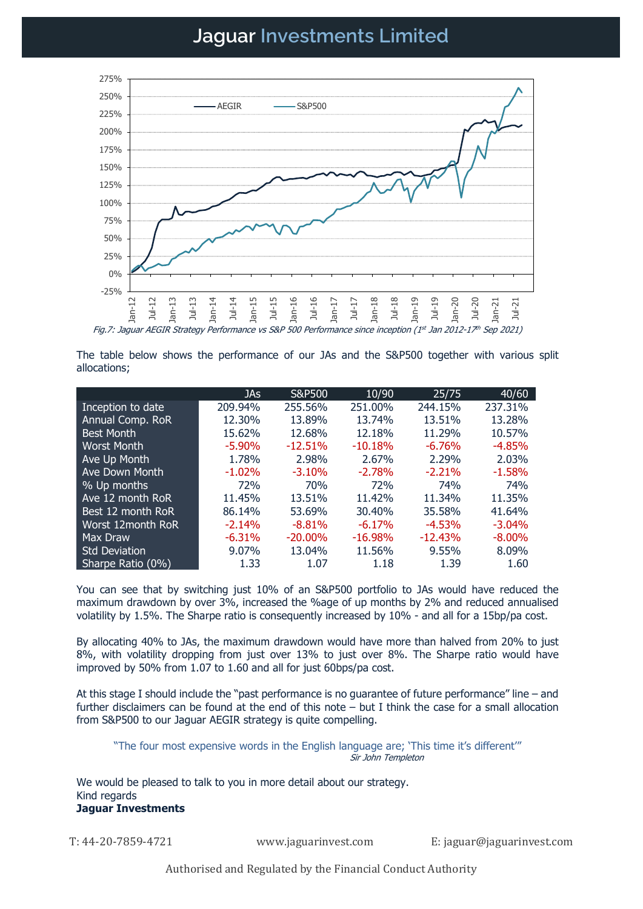# Jaguar Investments Limited



Fig.7: Jaguar AEGIR Strategy Performance vs S&P 500 Performance since inception (1st Jan 2012-17th Sep 2021)

The table below shows the performance of our JAs and the S&P500 together with various split allocations;

|                          | <b>JAs</b> | S&P500     | 10/90     | 25/75     | 40/60     |
|--------------------------|------------|------------|-----------|-----------|-----------|
| Inception to date        | 209.94%    | 255.56%    | 251.00%   | 244.15%   | 237.31%   |
| Annual Comp. RoR         | 12.30%     | 13.89%     | 13.74%    | 13.51%    | 13.28%    |
| <b>Best Month</b>        | 15.62%     | 12.68%     | 12.18%    | 11.29%    | 10.57%    |
| Worst Month              | $-5.90\%$  | $-12.51%$  | $-10.18%$ | $-6.76%$  | $-4.85%$  |
| Ave Up Month             | 1.78%      | 2.98%      | 2.67%     | 2.29%     | 2.03%     |
| Ave Down Month           | $-1.02%$   | $-3.10%$   | $-2.78%$  | $-2.21%$  | $-1.58%$  |
| % Up months              | 72%        | 70%        | 72%       | 74%       | 74%       |
| Ave 12 month RoR         | 11.45%     | 13.51%     | 11.42%    | 11.34%    | 11.35%    |
| Best 12 month RoR        | 86.14%     | 53.69%     | 30.40%    | 35.58%    | 41.64%    |
| <b>Worst 12month RoR</b> | $-2.14%$   | $-8.81%$   | $-6.17%$  | $-4.53%$  | $-3.04\%$ |
| Max Draw                 | $-6.31%$   | $-20.00\%$ | $-16.98%$ | $-12.43%$ | $-8.00\%$ |
| <b>Std Deviation</b>     | 9.07%      | 13.04%     | 11.56%    | 9.55%     | 8.09%     |
| Sharpe Ratio (0%)        | 1.33       | 1.07       | 1.18      | 1.39      | 1.60      |

You can see that by switching just 10% of an S&P500 portfolio to JAs would have reduced the maximum drawdown by over 3%, increased the %age of up months by 2% and reduced annualised volatility by 1.5%. The Sharpe ratio is consequently increased by 10% - and all for a 15bp/pa cost.

By allocating 40% to JAs, the maximum drawdown would have more than halved from 20% to just 8%, with volatility dropping from just over 13% to just over 8%. The Sharpe ratio would have improved by 50% from 1.07 to 1.60 and all for just 60bps/pa cost.

At this stage I should include the "past performance is no guarantee of future performance" line – and further disclaimers can be found at the end of this note – but I think the case for a small allocation from S&P500 to our Jaguar AEGIR strategy is quite compelling.

"The four most expensive words in the English language are; 'This time it's different'" Sir John Templeton

We would be pleased to talk to you in more detail about our strategy. Kind regards Jaguar Investments

T: 44-20-7859-4721 www.jaguarinvest.com E: jaguar@jaguarinvest.com

Authorised and Regulated by the Financial Conduct Authority